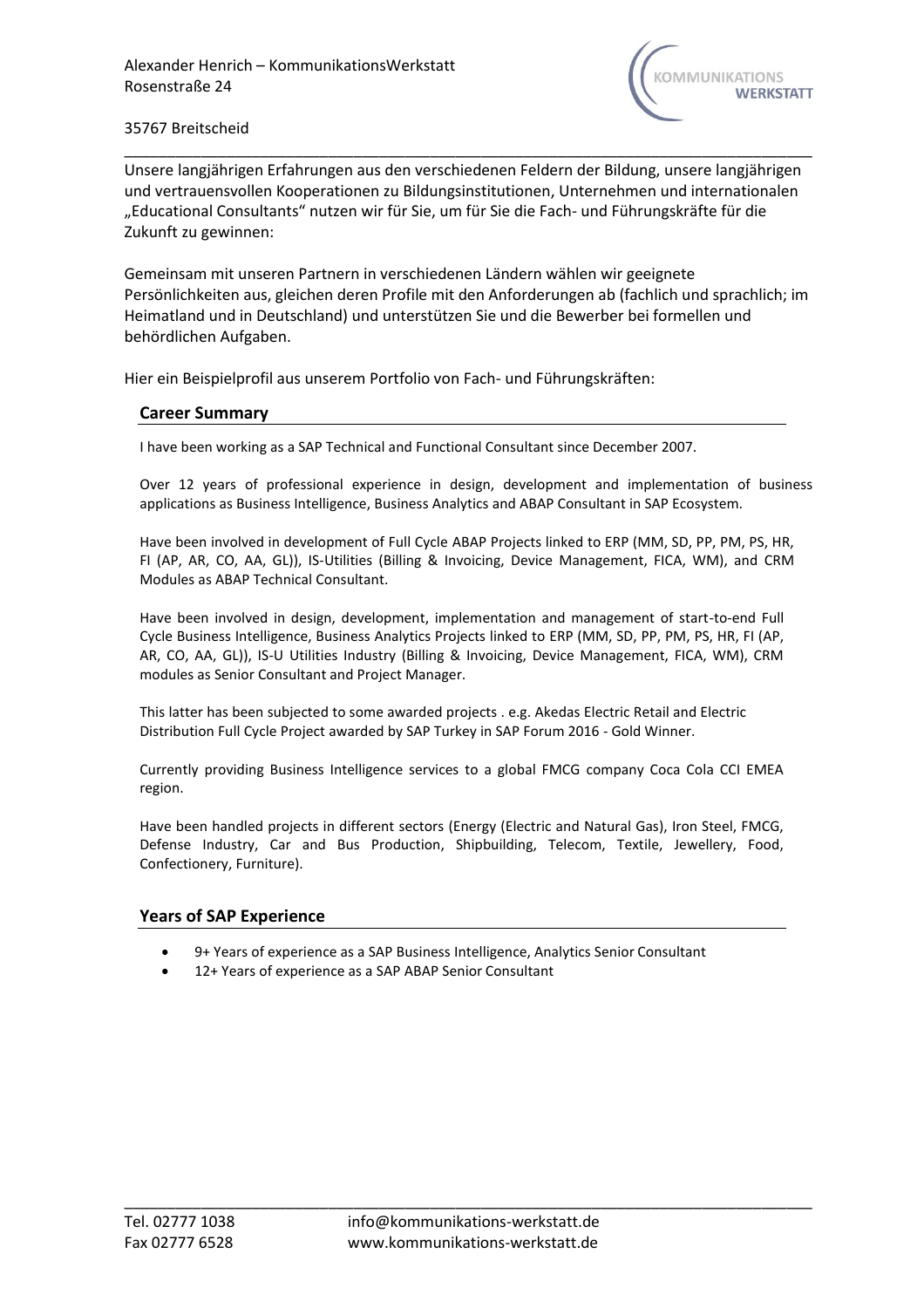

\_\_\_\_\_\_\_\_\_\_\_\_\_\_\_\_\_\_\_\_\_\_\_\_\_\_\_\_\_\_\_\_\_\_\_\_\_\_\_\_\_\_\_\_\_\_\_\_\_\_\_\_\_\_\_\_\_\_\_\_\_\_\_\_\_\_\_\_\_\_\_\_\_\_\_\_\_\_\_\_\_ Unsere langjährigen Erfahrungen aus den verschiedenen Feldern der Bildung, unsere langjährigen und vertrauensvollen Kooperationen zu Bildungsinstitutionen, Unternehmen und internationalen "Educational Consultants" nutzen wir für Sie, um für Sie die Fach- und Führungskräfte für die Zukunft zu gewinnen:

Gemeinsam mit unseren Partnern in verschiedenen Ländern wählen wir geeignete Persönlichkeiten aus, gleichen deren Profile mit den Anforderungen ab (fachlich und sprachlich; im Heimatland und in Deutschland) und unterstützen Sie und die Bewerber bei formellen und behördlichen Aufgaben.

Hier ein Beispielprofil aus unserem Portfolio von Fach- und Führungskräften:

# **Career Summary**

I have been working as a SAP Technical and Functional Consultant since December 2007.

Over 12 years of professional experience in design, development and implementation of business applications as Business Intelligence, Business Analytics and ABAP Consultant in SAP Ecosystem.

Have been involved in development of Full Cycle ABAP Projects linked to ERP (MM, SD, PP, PM, PS, HR, FI (AP, AR, CO, AA, GL)), IS-Utilities (Billing & Invoicing, Device Management, FICA, WM), and CRM Modules as ABAP Technical Consultant.

Have been involved in design, development, implementation and management of start-to-end Full Cycle Business Intelligence, Business Analytics Projects linked to ERP (MM, SD, PP, PM, PS, HR, FI (AP, AR, CO, AA, GL)), IS-U Utilities Industry (Billing & Invoicing, Device Management, FICA, WM), CRM modules as Senior Consultant and Project Manager.

This latter has been subjected to some awarded projects . e.g. Akedas Electric Retail and Electric Distribution Full Cycle Project awarded by SAP Turkey in SAP Forum 2016 - Gold Winner.

Currently providing Business Intelligence services to a global FMCG company Coca Cola CCI EMEA region.

Have been handled projects in different sectors (Energy (Electric and Natural Gas), Iron Steel, FMCG, Defense Industry, Car and Bus Production, Shipbuilding, Telecom, Textile, Jewellery, Food, Confectionery, Furniture).

# **Years of SAP Experience**

- 9+ Years of experience as a SAP Business Intelligence, Analytics Senior Consultant
- 12+ Years of experience as a SAP ABAP Senior Consultant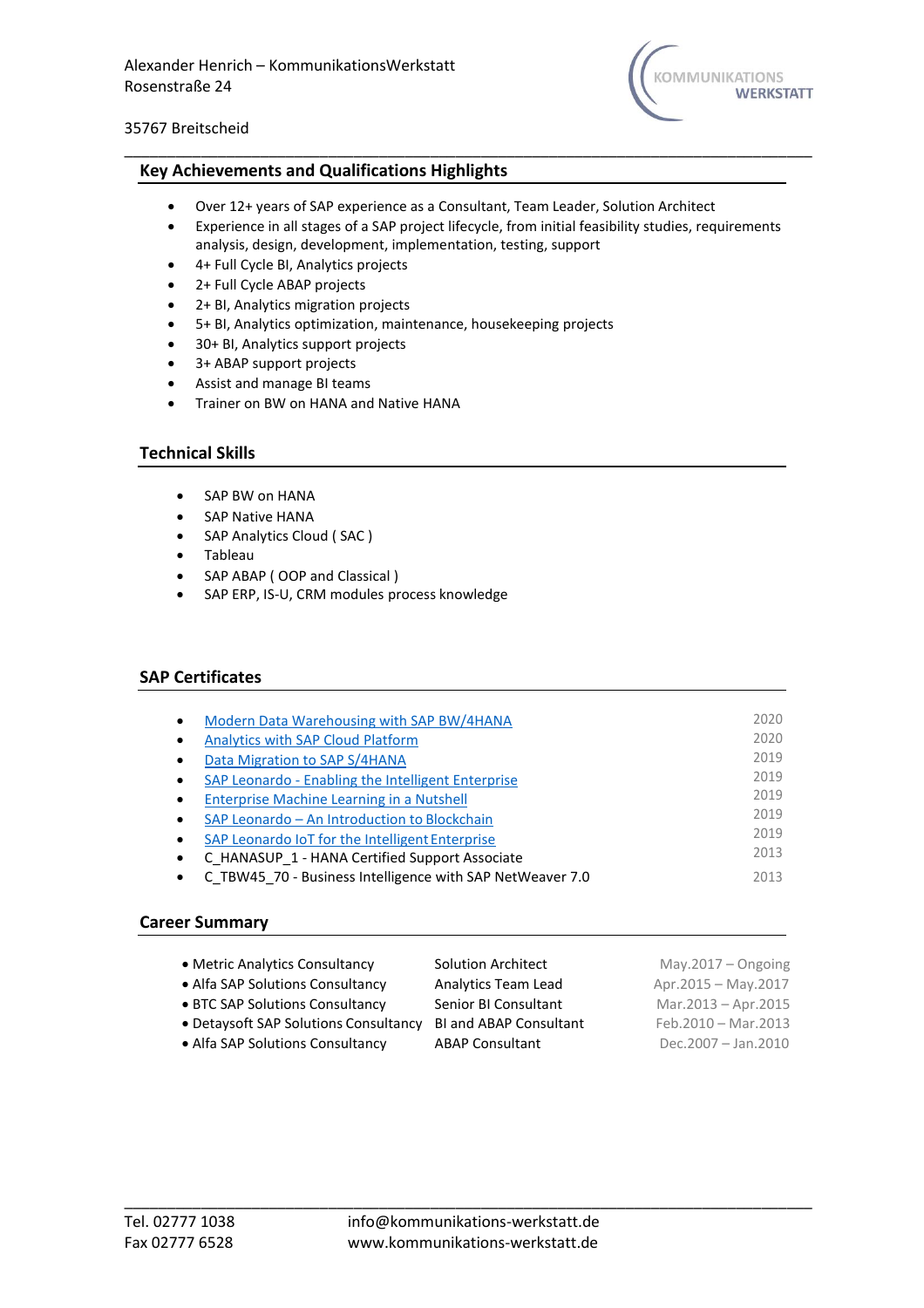

## **Key Achievements and Qualifications Highlights**

- Over 12+ years of SAP experience as a Consultant, Team Leader, Solution Architect
- Experience in all stages of a SAP project lifecycle, from initial feasibility studies, requirements analysis, design, development, implementation, testing, support

\_\_\_\_\_\_\_\_\_\_\_\_\_\_\_\_\_\_\_\_\_\_\_\_\_\_\_\_\_\_\_\_\_\_\_\_\_\_\_\_\_\_\_\_\_\_\_\_\_\_\_\_\_\_\_\_\_\_\_\_\_\_\_\_\_\_\_\_\_\_\_\_\_\_\_\_\_\_\_\_\_

- 4+ Full Cycle BI, Analytics projects
- 2+ Full Cycle ABAP projects
- 2+ BI, Analytics migration projects
- 5+ BI, Analytics optimization, maintenance, housekeeping projects
- 30+ BI, Analytics support projects
- 3+ ABAP support projects
- Assist and manage BI teams
- Trainer on BW on HANA and Native HANA

## **Technical Skills**

- SAP BW on HANA
- SAP Native HANA
- SAP Analytics Cloud ( SAC )
- Tableau
- SAP ABAP (OOP and Classical)
- SAP ERP, IS-U, CRM modules process knowledge

# **SAP Certificates**

| Modern Data Warehousing with SAP BW/4HANA                 | 2020 |
|-----------------------------------------------------------|------|
| <b>Analytics with SAP Cloud Platform</b>                  | 2020 |
| Data Migration to SAP S/4HANA                             | 2019 |
| SAP Leonardo - Enabling the Intelligent Enterprise        | 2019 |
| Enterprise Machine Learning in a Nutshell                 | 2019 |
| SAP Leonardo - An Introduction to Blockchain              | 2019 |
| SAP Leonardo IoT for the Intelligent Enterprise           | 2019 |
| C HANASUP 1 - HANA Certified Support Associate            | 2013 |
| C TBW45 70 - Business Intelligence with SAP NetWeaver 7.0 | 2013 |

## **Career Summary**

| • Metric Analytics Consultancy        | <b>Solution Architect</b>     | May.2017 $-$ Ongoing |
|---------------------------------------|-------------------------------|----------------------|
| • Alfa SAP Solutions Consultancy      | Analytics Team Lead           | Apr.2015 - May.2017  |
| • BTC SAP Solutions Consultancy       | Senior BI Consultant          | Mar.2013 - Apr.2015  |
| • Detaysoft SAP Solutions Consultancy | <b>BI and ABAP Consultant</b> | Feb.2010 - Mar.2013  |
| • Alfa SAP Solutions Consultancy      | <b>ABAP Consultant</b>        | Dec.2007 - Jan.2010  |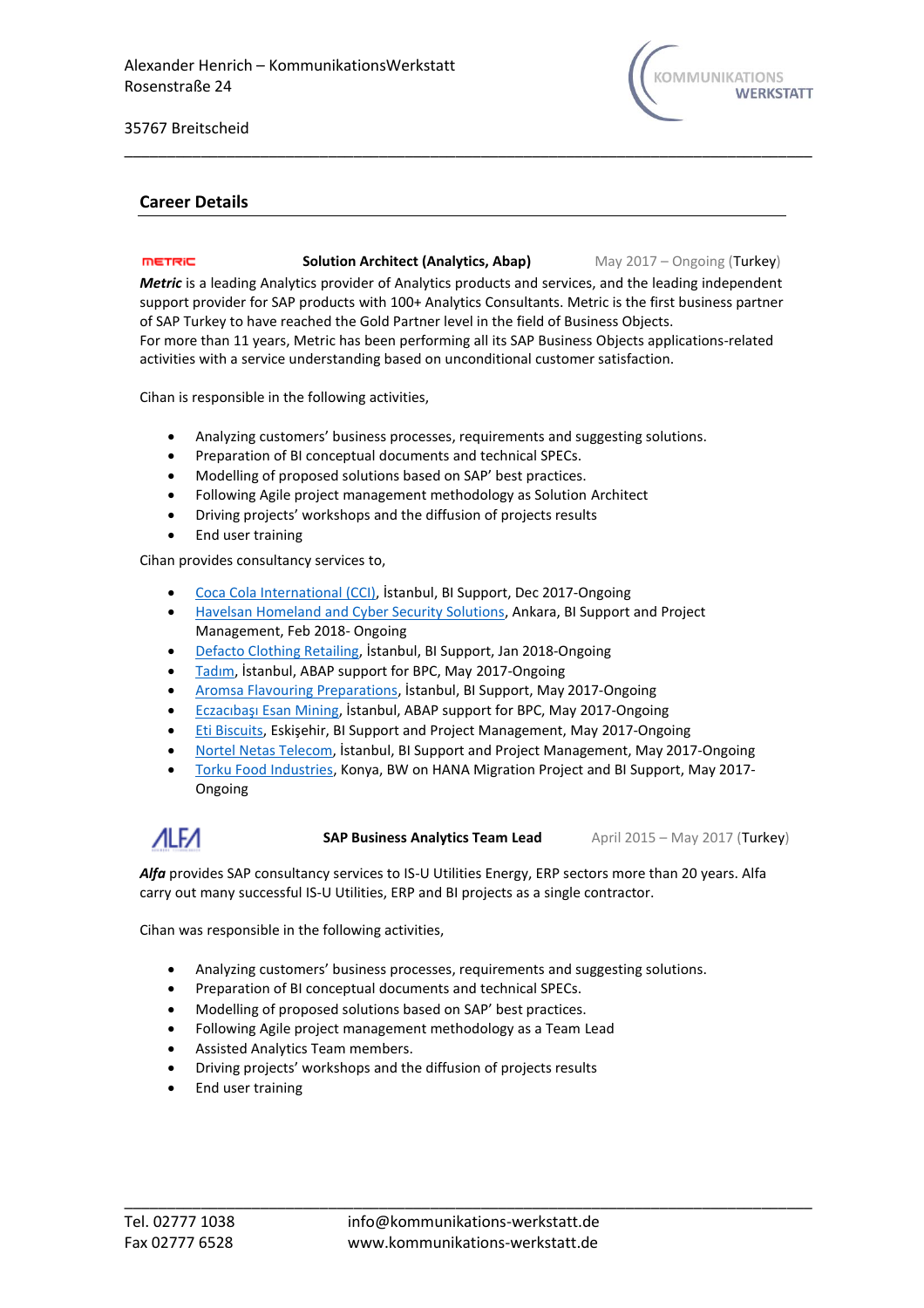

## **Career Details**

#### metric **Solution Architect (Analytics, Abap)** May 2017 – Ongoing (Turkey)

*Metric* is a leading Analytics provider of Analytics products and services, and the leading independent support provider for SAP products with 100+ Analytics Consultants. Metric is the first business partner of SAP Turkey to have reached the Gold Partner level in the field of Business Objects. For more than 11 years, Metric has been performing all its SAP Business Objects applications-related activities with a service understanding based on unconditional customer satisfaction.

\_\_\_\_\_\_\_\_\_\_\_\_\_\_\_\_\_\_\_\_\_\_\_\_\_\_\_\_\_\_\_\_\_\_\_\_\_\_\_\_\_\_\_\_\_\_\_\_\_\_\_\_\_\_\_\_\_\_\_\_\_\_\_\_\_\_\_\_\_\_\_\_\_\_\_\_\_\_\_\_\_

Cihan is responsible in the following activities,

- Analyzing customers' business processes, requirements and suggesting solutions.
- Preparation of BI conceptual documents and technical SPECs.
- Modelling of proposed solutions based on SAP' best practices.
- Following Agile project management methodology as Solution Architect
- Driving projects' workshops and the diffusion of projects results
- End user training

Cihan provides consultancy services to,

- [Coca Cola International \(CCI\),](https://www.cci.com.tr/en) İstanbul, BI Support, Dec 2017-Ongoing
- Havelsan Homeland [and Cyber Security Solutions,](http://www.havelsan.com.tr/en/) Ankara, BI Support and Project Management, Feb 2018- Ongoing
- [Defacto Clothing Retailing,](https://www.defacto.com.tr/en-us/) İstanbul, BI Support, Jan 2018-Ongoing
- [Tadım](https://www.tadim.com/en/), İstanbul, ABAP support for BPC, May 2017-Ongoing
- [Aromsa Flavouring Preparations,](http://www.aromsa.com/en) İstanbul, BI Support, May 2017-Ongoing
- [Eczacıbaşı Esan Mining](https://www.esan.com.tr/en), İstanbul, ABAP support for BPC, May 2017-Ongoing
- [Eti Biscuits,](https://www.etiinternational.com/) Eskişehir, BI Support and Project Management, May 2017-Ongoing
- [Nortel Netas Telecom,](http://www.netas.com.tr/en/home-page/) İstanbul, BI Support and Project Management, May 2017-Ongoing
- [Torku Food Industries,](http://torku.com.tr/en) Konya, BW on HANA Migration Project and BI Support, May 2017- Ongoing

 $ALFA$ 

**SAP Business Analytics Team Lead** April 2015 – May 2017 (Turkey)

*Alfa* provides SAP consultancy services to IS-U Utilities Energy, ERP sectors more than 20 years. Alfa carry out many successful IS-U Utilities, ERP and BI projects as a single contractor.

Cihan was responsible in the following activities,

- Analyzing customers' business processes, requirements and suggesting solutions.
- Preparation of BI conceptual documents and technical SPECs.
- Modelling of proposed solutions based on SAP' best practices.
- Following Agile project management methodology as a Team Lead
- Assisted Analytics Team members.
- Driving projects' workshops and the diffusion of projects results
- End user training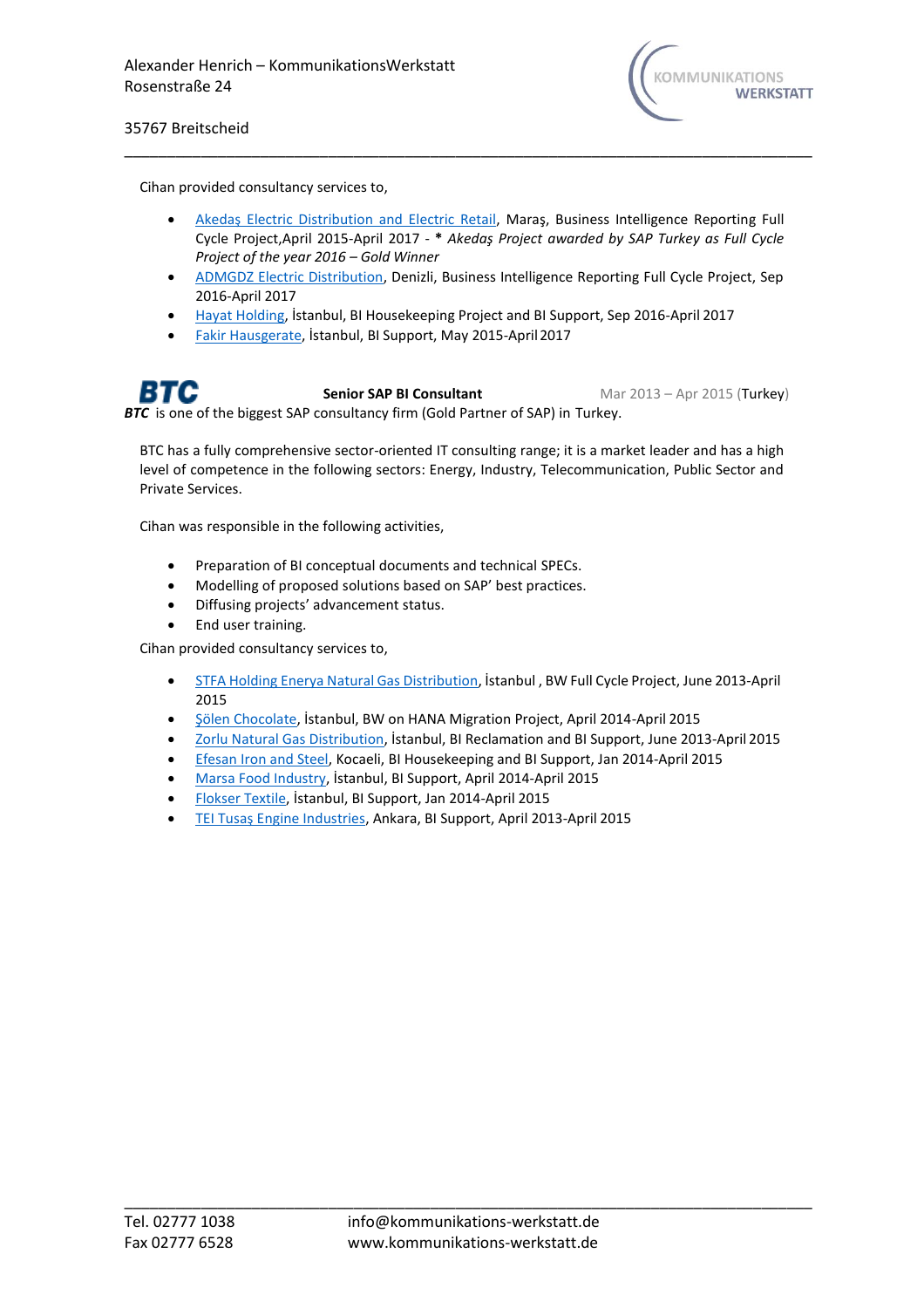

Cihan provided consultancy services to,

• [Akedaş Electric Distribution and Electric Retail](https://www.akedas.com.tr/), Maraş, Business Intelligence Reporting Full Cycle Project,April 2015-April 2017 - **\*** *Akedaş Project awarded by SAP Turkey as Full Cycle Project of the year 2016 – Gold Winner*

\_\_\_\_\_\_\_\_\_\_\_\_\_\_\_\_\_\_\_\_\_\_\_\_\_\_\_\_\_\_\_\_\_\_\_\_\_\_\_\_\_\_\_\_\_\_\_\_\_\_\_\_\_\_\_\_\_\_\_\_\_\_\_\_\_\_\_\_\_\_\_\_\_\_\_\_\_\_\_\_\_

- [ADMGDZ Electric Distribution, D](https://www.gdzelektrik.com.tr/en/)enizli, Business Intelligence Reporting Full Cycle Project, Sep 2016-April 2017
- [Hayat Holding,](https://www.hayat.com.tr/) İstanbul, BI Housekeeping Project and BI Support, Sep 2016-April 2017
- [Fakir Hausgerate,](http://fakir.com.tr/) İstanbul, BI Support, May 2015-April2017

**Senior SAP BI Consultant** Mar 2013 – Apr 2015 (Turkey) **BTC** is one of the biggest SAP consultancy firm (Gold Partner of SAP) in Turkey.

BTC has a fully comprehensive sector-oriented IT consulting range; it is a market leader and has a high level of competence in the following sectors: Energy, Industry, Telecommunication, Public Sector and Private Services.

Cihan was responsible in the following activities,

- Preparation of BI conceptual documents and technical SPECs.
- Modelling of proposed solutions based on SAP' best practices.
- Diffusing projects' advancement status.
- End user training.

Cihan provided consultancy services to,

- STFA Holding Enerya Natural Gas [Distribution,](https://www.enerya.com.tr/en/corporate/about-enerya) İstanbul , BW Full Cycle Project, June 2013-April 2015
- [Şölen Chocolate](https://www.solen.com.tr/en-US), İstanbul, BW on HANA Migration Project, April 2014-April 2015
- [Zorlu Natural Gas Distribution,](https://www.zorluenerji.com.tr/en) İstanbul, BI Reclamation and BI Support, June 2013-April 2015
- [Efesan Iron and Steel, K](https://www.efesan.com.tr/en/homepage/)ocaeli, BI Housekeeping and BI Support, Jan 2014-April 2015
- [Marsa Food Industry,](https://www.marsa.com.tr/) İstanbul, BI Support, April 2014-April 2015
- [Flokser Textile,](https://www.flokser.com.tr/en/) İstanbul, BI Support, Jan 2014-April 2015
- [TEI Tusaş Engine Industries](https://www.tei.com.tr/), Ankara, BI Support, April 2013-April 2015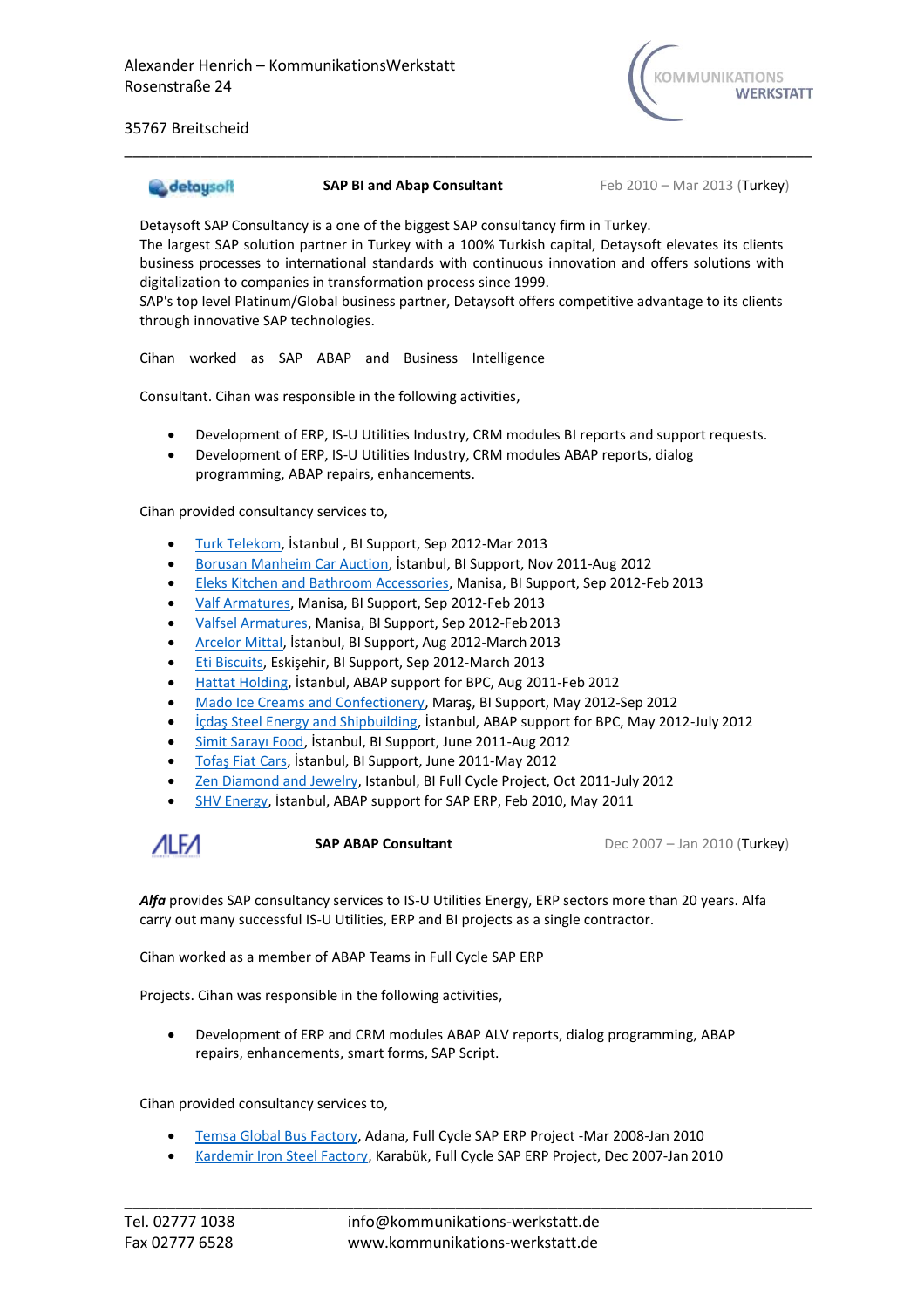

## detaysoft

**SAP BI and Abap Consultant** Feb 2010 – Mar 2013 (Turkey)

Detaysoft SAP Consultancy is a one of the biggest SAP consultancy firm in Turkey. The largest SAP solution partner in Turkey with a 100% Turkish capital, Detaysoft elevates its clients business processes to international standards with continuous innovation and offers solutions with

digitalization to companies in transformation process since 1999. SAP's top level Platinum/Global business partner, Detaysoft offers competitive advantage to its clients through innovative SAP technologies.

\_\_\_\_\_\_\_\_\_\_\_\_\_\_\_\_\_\_\_\_\_\_\_\_\_\_\_\_\_\_\_\_\_\_\_\_\_\_\_\_\_\_\_\_\_\_\_\_\_\_\_\_\_\_\_\_\_\_\_\_\_\_\_\_\_\_\_\_\_\_\_\_\_\_\_\_\_\_\_\_\_

Cihan worked as SAP ABAP and Business Intelligence

Consultant. Cihan was responsible in the following activities,

- Development of ERP, IS-U Utilities Industry, CRM modules BI reports and support requests.
- Development of ERP, IS-U Utilities Industry, CRM modules ABAP reports, dialog programming, ABAP repairs, enhancements.

Cihan provided consultancy services to,

- [Turk Telekom,](https://www.turktelekom.com.tr/en/Pages/default.aspx) İstanbul , BI Support, Sep 2012-Mar 2013
- [Borusan Manheim Car Auction,](https://www.manheimturkiye.com/) İstanbul, BI Support, Nov 2011-Aug 2012
- [Eleks Kitchen and Bathroom Accessories, M](https://eleks.com.tr/en/)anisa, BI Support, Sep 2012-Feb 2013
- [Valf Armatures, M](http://www.eca.com.tr/)anisa, BI Support, Sep 2012-Feb 2013
- [Valfsel Armatures, M](http://www.valfsel.com.tr/en/)anisa, BI Support, Sep 2012-Feb2013
- [Arcelor Mittal,](https://corporate.arcelormittal.com/) İstanbul, BI Support, Aug 2012-March 2013
- [Eti Biscuits,](https://www.etiinternational.com/) Eskişehir, BI Support, Sep 2012-March 2013
- [Hattat Holding,](http://www.hattat.com.tr/?lang=en) İstanbul, ABAP support for BPC, Aug 2011-Feb 2012
- [Mado Ice Creams and Confectionery,](https://mado.com.tr/) Maraş, BI Support, May 2012-Sep 2012
- [İçdaş Steel Energy and Shipbuilding](https://www.icdas.com.tr/home/en-US/Default.aspx), İstanbul, ABAP support for BPC, May 2012-July 2012
- [Simit Sarayı Food](https://www.simitsarayi.com/en), İstanbul, BI Support, June 2011-Aug 2012
- [Tofaş Fiat Cars](https://www.tofas.com.tr/en/Pages/default.aspx), İstanbul, BI Support, June 2011-May 2012
- [Zen Diamond and Jewelry, Is](https://www.zenpirlanta.com/)tanbul, BI Full Cycle Project, Oct 2011-July 2012
- [SHV Energy,](http://www.shvenergy.com/country/turkey/) İstanbul, ABAP support for SAP ERP, Feb 2010, May 2011

**MLFA** 

**SAP ABAP Consultant** Dec 2007 – Jan 2010 (Turkey)

*Alfa* provides SAP consultancy services to IS-U Utilities Energy, ERP sectors more than 20 years. Alfa carry out many successful IS-U Utilities, ERP and BI projects as a single contractor.

Cihan worked as a member of ABAP Teams in Full Cycle SAP ERP

Projects. Cihan was responsible in the following activities,

• Development of ERP and CRM modules ABAP ALV reports, dialog programming, ABAP repairs, enhancements, smart forms, SAP Script.

Cihan provided consultancy services to,

- [Temsa Global Bus Factory, A](https://www.temsa.com/tr/tr)dana, Full Cycle SAP ERP Project -Mar 2008-Jan 2010
- [Kardemir Iron Steel Factory, K](https://www.kardemir.com/)arabük, Full Cycle SAP ERP Project, Dec 2007-Jan 2010